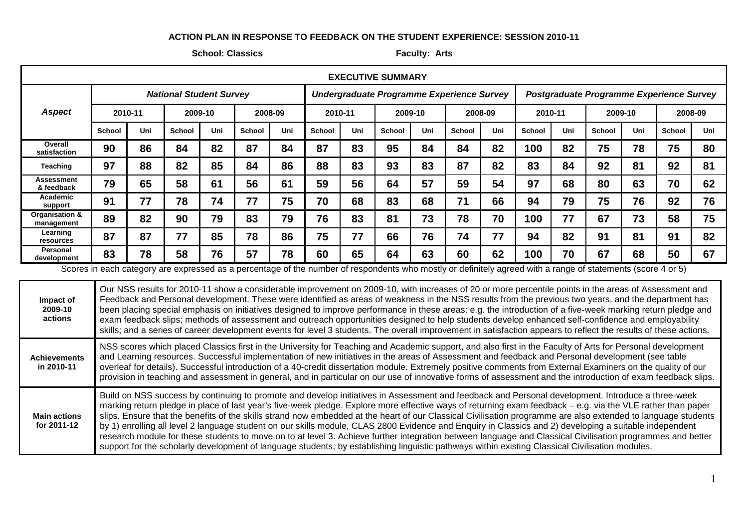## **ACTION PLAN IN RESPONSE TO FEEDBACK ON THE STUDENT EXPERIENCE: SESSION 2010-11**

## **School: Classics Faculty: Arts**

| <b>EXECUTIVE SUMMARY</b>                                                                                                                                       |                                |         |               |         |               |                                           |               |         |               |         |                                          |         |               |     |               |         |               |         |
|----------------------------------------------------------------------------------------------------------------------------------------------------------------|--------------------------------|---------|---------------|---------|---------------|-------------------------------------------|---------------|---------|---------------|---------|------------------------------------------|---------|---------------|-----|---------------|---------|---------------|---------|
|                                                                                                                                                                | <b>National Student Survey</b> |         |               |         |               | Undergraduate Programme Experience Survey |               |         |               |         | Postgraduate Programme Experience Survey |         |               |     |               |         |               |         |
| <b>Aspect</b>                                                                                                                                                  |                                | 2010-11 |               | 2009-10 |               | 2008-09                                   |               | 2010-11 |               | 2009-10 |                                          | 2008-09 | 2010-11       |     |               | 2009-10 |               | 2008-09 |
|                                                                                                                                                                | <b>School</b>                  | Uni     | <b>School</b> | Uni     | <b>School</b> | Uni                                       | <b>School</b> | Uni     | <b>School</b> | Uni     | <b>School</b>                            | Uni     | <b>School</b> | Uni | <b>School</b> | Uni     | <b>School</b> | Uni     |
| Overall<br>satisfaction                                                                                                                                        | 90                             | 86      | 84            | 82      | 87            | 84                                        | 87            | 83      | 95            | 84      | 84                                       | 82      | 100           | 82  | 75            | 78      | 75            | 80      |
| Teaching                                                                                                                                                       | 97                             | 88      | 82            | 85      | 84            | 86                                        | 88            | 83      | 93            | 83      | 87                                       | 82      | 83            | 84  | 92            | 81      | 92            | 81      |
| Assessment<br>& feedback                                                                                                                                       | 79                             | 65      | 58            | 61      | 56            | 61                                        | 59            | 56      | 64            | 57      | 59                                       | 54      | 97            | 68  | 80            | 63      | 70            | 62      |
| Academic<br>support                                                                                                                                            | 91                             | 77      | 78            | 74      | 77            | 75                                        | 70            | 68      | 83            | 68      | 71                                       | 66      | 94            | 79  | 75            | 76      | 92            | 76      |
| Organisation &<br>management                                                                                                                                   | 89                             | 82      | 90            | 79      | 83            | 79                                        | 76            | 83      | 81            | 73      | 78                                       | 70      | 100           | 77  | 67            | 73      | 58            | 75      |
| Learning<br>resources                                                                                                                                          | 87                             | 87      | 77            | 85      | 78            | 86                                        | 75            | 77      | 66            | 76      | 74                                       | 77      | 94            | 82  | 91            | 81      | 91            | 82      |
| Personal<br>development                                                                                                                                        | 83                             | 78      | 58            | 76      | 57            | 78                                        | 60            | 65      | 64            | 63      | 60                                       | 62      | 100           | 70  | 67            | 68      | 50            | 67      |
| Cooree in each octavery are overcosed as a perceptage of the number of reconocidents who mostly or definitely ocrased with a reage of ototoments (eggs 1 or E) |                                |         |               |         |               |                                           |               |         |               |         |                                          |         |               |     |               |         |               |         |

Scores in each category are expressed as a percentage of the number of respondents who mostly or definitely agreed with a range of statements (score 4 or 5)

**Impact of 2009-10 actions** Our NSS results for 2010-11 show a considerable improvement on 2009-10, with increases of 20 or more percentile points in the areas of Assessment and Feedback and Personal development. These were identified as areas of weakness in the NSS results from the previous two years, and the department has been placing special emphasis on initiatives designed to improve performance in these areas: e.g. the introduction of a five-week marking return pledge and exam feedback slips; methods of assessment and outreach opportunities designed to help students develop enhanced self-confidence and employability skills; and a series of career development events for level 3 students. The overall improvement in satisfaction appears to reflect the results of these actions. **Achievements in 2010-11** NSS scores which placed Classics first in the University for Teaching and Academic support, and also first in the Faculty of Arts for Personal development and Learning resources. Successful implementation of new initiatives in the areas of Assessment and feedback and Personal development (see table overleaf for details). Successful introduction of a 40-credit dissertation module. Extremely positive comments from External Examiners on the quality of our provision in teaching and assessment in general, and in particular on our use of innovative forms of assessment and the introduction of exam feedback slips. **Main actions for 2011-12** Build on NSS success by continuing to promote and develop initiatives in Assessment and feedback and Personal development. Introduce a three-week marking return pledge in place of last year's five-week pledge. Explore more effective ways of returning exam feedback – e.g. via the VLE rather than paper slips. Ensure that the benefits of the skills strand now embedded at the heart of our Classical Civilisation programme are also extended to language students by 1) enrolling all level 2 language student on our skills module, CLAS 2800 Evidence and Enquiry in Classics and 2) developing a suitable independent research module for these students to move on to at level 3. Achieve further integration between language and Classical Civilisation programmes and better support for the scholarly development of language students, by establishing linguistic pathways within existing Classical Civilisation modules.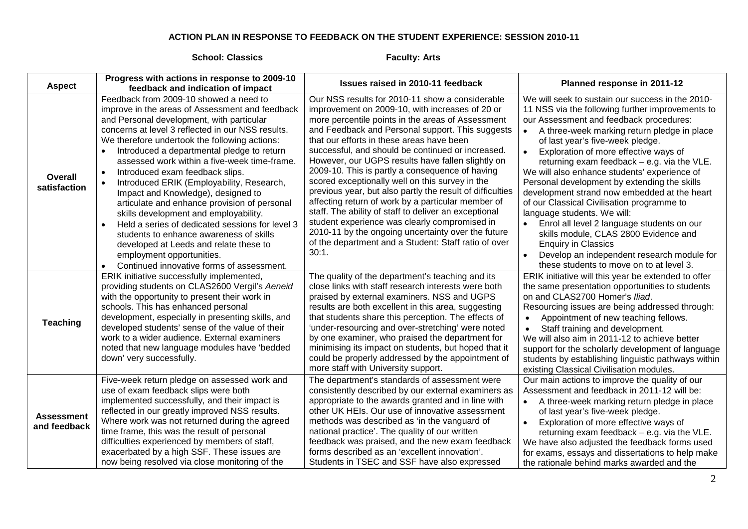## **ACTION PLAN IN RESPONSE TO FEEDBACK ON THE STUDENT EXPERIENCE: SESSION 2010-11**

## **School: Classics Faculty: Arts**

|                                   | Progress with actions in response to 2009-10                                                                                                                                                                                                                                                                                                                                                                                                                                                                                                                                                                                                                                                                                                                                                          | <b>Issues raised in 2010-11 feedback</b>                                                                                                                                                                                                                                                                                                                                                                                                                                                                                                                                                                                                                                                                                                                                                                                     | Planned response in 2011-12                                                                                                                                                                                                                                                                                                                                                                                                                                                                                                                                                                                                                                                                                                                                                                      |  |  |  |
|-----------------------------------|-------------------------------------------------------------------------------------------------------------------------------------------------------------------------------------------------------------------------------------------------------------------------------------------------------------------------------------------------------------------------------------------------------------------------------------------------------------------------------------------------------------------------------------------------------------------------------------------------------------------------------------------------------------------------------------------------------------------------------------------------------------------------------------------------------|------------------------------------------------------------------------------------------------------------------------------------------------------------------------------------------------------------------------------------------------------------------------------------------------------------------------------------------------------------------------------------------------------------------------------------------------------------------------------------------------------------------------------------------------------------------------------------------------------------------------------------------------------------------------------------------------------------------------------------------------------------------------------------------------------------------------------|--------------------------------------------------------------------------------------------------------------------------------------------------------------------------------------------------------------------------------------------------------------------------------------------------------------------------------------------------------------------------------------------------------------------------------------------------------------------------------------------------------------------------------------------------------------------------------------------------------------------------------------------------------------------------------------------------------------------------------------------------------------------------------------------------|--|--|--|
| <b>Aspect</b>                     | feedback and indication of impact                                                                                                                                                                                                                                                                                                                                                                                                                                                                                                                                                                                                                                                                                                                                                                     |                                                                                                                                                                                                                                                                                                                                                                                                                                                                                                                                                                                                                                                                                                                                                                                                                              |                                                                                                                                                                                                                                                                                                                                                                                                                                                                                                                                                                                                                                                                                                                                                                                                  |  |  |  |
| Overall<br>satisfaction           | Feedback from 2009-10 showed a need to<br>improve in the areas of Assessment and feedback<br>and Personal development, with particular<br>concerns at level 3 reflected in our NSS results.<br>We therefore undertook the following actions:<br>Introduced a departmental pledge to return<br>assessed work within a five-week time-frame.<br>Introduced exam feedback slips.<br>$\bullet$<br>Introduced ERIK (Employability, Research,<br>Impact and Knowledge), designed to<br>articulate and enhance provision of personal<br>skills development and employability.<br>Held a series of dedicated sessions for level 3<br>students to enhance awareness of skills<br>developed at Leeds and relate these to<br>employment opportunities.<br>Continued innovative forms of assessment.<br>$\bullet$ | Our NSS results for 2010-11 show a considerable<br>improvement on 2009-10, with increases of 20 or<br>more percentile points in the areas of Assessment<br>and Feedback and Personal support. This suggests<br>that our efforts in these areas have been<br>successful, and should be continued or increased.<br>However, our UGPS results have fallen slightly on<br>2009-10. This is partly a consequence of having<br>scored exceptionally well on this survey in the<br>previous year, but also partly the result of difficulties<br>affecting return of work by a particular member of<br>staff. The ability of staff to deliver an exceptional<br>student experience was clearly compromised in<br>2010-11 by the ongoing uncertainty over the future<br>of the department and a Student: Staff ratio of over<br>30:1. | We will seek to sustain our success in the 2010-<br>11 NSS via the following further improvements to<br>our Assessment and feedback procedures:<br>A three-week marking return pledge in place<br>of last year's five-week pledge.<br>Exploration of more effective ways of<br>returning exam feedback - e.g. via the VLE.<br>We will also enhance students' experience of<br>Personal development by extending the skills<br>development strand now embedded at the heart<br>of our Classical Civilisation programme to<br>language students. We will:<br>Enrol all level 2 language students on our<br>$\bullet$<br>skills module, CLAS 2800 Evidence and<br><b>Enquiry in Classics</b><br>Develop an independent research module for<br>$\bullet$<br>these students to move on to at level 3. |  |  |  |
| <b>Teaching</b>                   | ERIK initiative successfully implemented,<br>providing students on CLAS2600 Vergil's Aeneid<br>with the opportunity to present their work in<br>schools. This has enhanced personal<br>development, especially in presenting skills, and<br>developed students' sense of the value of their<br>work to a wider audience. External examiners<br>noted that new language modules have 'bedded<br>down' very successfully.                                                                                                                                                                                                                                                                                                                                                                               | The quality of the department's teaching and its<br>close links with staff research interests were both<br>praised by external examiners. NSS and UGPS<br>results are both excellent in this area, suggesting<br>that students share this perception. The effects of<br>'under-resourcing and over-stretching' were noted<br>by one examiner, who praised the department for<br>minimising its impact on students, but hoped that it<br>could be properly addressed by the appointment of<br>more staff with University support.                                                                                                                                                                                                                                                                                             | ERIK initiative will this year be extended to offer<br>the same presentation opportunities to students<br>on and CLAS2700 Homer's Iliad.<br>Resourcing issues are being addressed through:<br>Appointment of new teaching fellows.<br>Staff training and development.<br>$\bullet$<br>We will also aim in 2011-12 to achieve better<br>support for the scholarly development of language<br>students by establishing linguistic pathways within<br>existing Classical Civilisation modules.                                                                                                                                                                                                                                                                                                      |  |  |  |
| <b>Assessment</b><br>and feedback | Five-week return pledge on assessed work and<br>use of exam feedback slips were both<br>implemented successfully, and their impact is<br>reflected in our greatly improved NSS results.<br>Where work was not returned during the agreed<br>time frame, this was the result of personal<br>difficulties experienced by members of staff,<br>exacerbated by a high SSF. These issues are<br>now being resolved via close monitoring of the                                                                                                                                                                                                                                                                                                                                                             | The department's standards of assessment were<br>consistently described by our external examiners as<br>appropriate to the awards granted and in line with<br>other UK HEIs. Our use of innovative assessment<br>methods was described as 'in the vanguard of<br>national practice'. The quality of our written<br>feedback was praised, and the new exam feedback<br>forms described as an 'excellent innovation'.<br>Students in TSEC and SSF have also expressed                                                                                                                                                                                                                                                                                                                                                          | Our main actions to improve the quality of our<br>Assessment and feedback in 2011-12 will be:<br>A three-week marking return pledge in place<br>$\bullet$<br>of last year's five-week pledge.<br>Exploration of more effective ways of<br>$\bullet$<br>returning exam feedback $-$ e.g. via the VLE.<br>We have also adjusted the feedback forms used<br>for exams, essays and dissertations to help make<br>the rationale behind marks awarded and the                                                                                                                                                                                                                                                                                                                                          |  |  |  |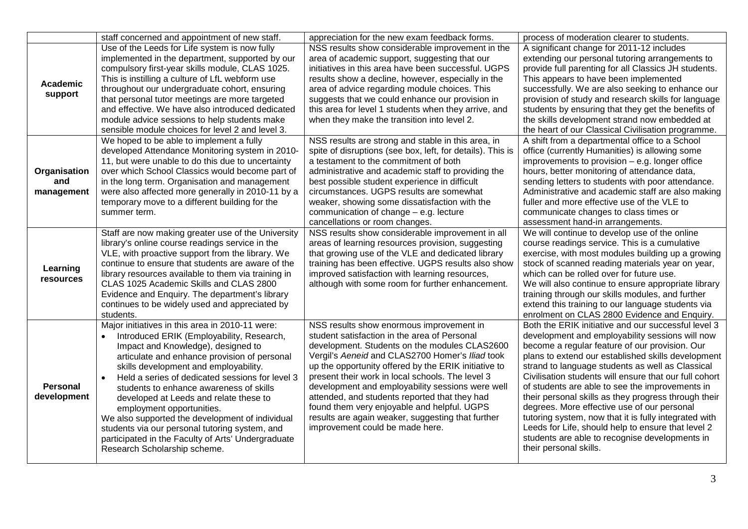|                                   | staff concerned and appointment of new staff.                                                                                                                                                                                                                                                                                                                                                                                                                                                                                                                                                            | appreciation for the new exam feedback forms.                                                                                                                                                                                                                                                                                                                                                                                                                                                                                                        | process of moderation clearer to students.                                                                                                                                                                                                                                                                                                                                                                                                                                                                                                                                                                                                                                        |
|-----------------------------------|----------------------------------------------------------------------------------------------------------------------------------------------------------------------------------------------------------------------------------------------------------------------------------------------------------------------------------------------------------------------------------------------------------------------------------------------------------------------------------------------------------------------------------------------------------------------------------------------------------|------------------------------------------------------------------------------------------------------------------------------------------------------------------------------------------------------------------------------------------------------------------------------------------------------------------------------------------------------------------------------------------------------------------------------------------------------------------------------------------------------------------------------------------------------|-----------------------------------------------------------------------------------------------------------------------------------------------------------------------------------------------------------------------------------------------------------------------------------------------------------------------------------------------------------------------------------------------------------------------------------------------------------------------------------------------------------------------------------------------------------------------------------------------------------------------------------------------------------------------------------|
| Academic<br>support               | Use of the Leeds for Life system is now fully<br>implemented in the department, supported by our<br>compulsory first-year skills module, CLAS 1025.<br>This is instilling a culture of LfL webform use<br>throughout our undergraduate cohort, ensuring<br>that personal tutor meetings are more targeted<br>and effective. We have also introduced dedicated<br>module advice sessions to help students make<br>sensible module choices for level 2 and level 3.                                                                                                                                        | NSS results show considerable improvement in the<br>area of academic support, suggesting that our<br>initiatives in this area have been successful. UGPS<br>results show a decline, however, especially in the<br>area of advice regarding module choices. This<br>suggests that we could enhance our provision in<br>this area for level 1 students when they arrive, and<br>when they make the transition into level 2.                                                                                                                            | A significant change for 2011-12 includes<br>extending our personal tutoring arrangements to<br>provide full parenting for all Classics JH students.<br>This appears to have been implemented<br>successfully. We are also seeking to enhance our<br>provision of study and research skills for language<br>students by ensuring that they get the benefits of<br>the skills development strand now embedded at<br>the heart of our Classical Civilisation programme.                                                                                                                                                                                                             |
| Organisation<br>and<br>management | We hoped to be able to implement a fully<br>developed Attendance Monitoring system in 2010-<br>11, but were unable to do this due to uncertainty<br>over which School Classics would become part of<br>in the long term. Organisation and management<br>were also affected more generally in 2010-11 by a<br>temporary move to a different building for the<br>summer term.                                                                                                                                                                                                                              | NSS results are strong and stable in this area, in<br>spite of disruptions (see box, left, for details). This is<br>a testament to the commitment of both<br>administrative and academic staff to providing the<br>best possible student experience in difficult<br>circumstances. UGPS results are somewhat<br>weaker, showing some dissatisfaction with the<br>communication of change $-$ e.g. lecture<br>cancellations or room changes.                                                                                                          | A shift from a departmental office to a School<br>office (currently Humanities) is allowing some<br>improvements to provision $-$ e.g. longer office<br>hours, better monitoring of attendance data,<br>sending letters to students with poor attendance.<br>Administrative and academic staff are also making<br>fuller and more effective use of the VLE to<br>communicate changes to class times or<br>assessment hand-in arrangements.                                                                                                                                                                                                                                        |
| Learning<br>resources             | Staff are now making greater use of the University<br>library's online course readings service in the<br>VLE, with proactive support from the library. We<br>continue to ensure that students are aware of the<br>library resources available to them via training in<br>CLAS 1025 Academic Skills and CLAS 2800<br>Evidence and Enquiry. The department's library<br>continues to be widely used and appreciated by<br>students.                                                                                                                                                                        | NSS results show considerable improvement in all<br>areas of learning resources provision, suggesting<br>that growing use of the VLE and dedicated library<br>training has been effective. UGPS results also show<br>improved satisfaction with learning resources,<br>although with some room for further enhancement.                                                                                                                                                                                                                              | We will continue to develop use of the online<br>course readings service. This is a cumulative<br>exercise, with most modules building up a growing<br>stock of scanned reading materials year on year,<br>which can be rolled over for future use.<br>We will also continue to ensure appropriate library<br>training through our skills modules, and further<br>extend this training to our language students via<br>enrolment on CLAS 2800 Evidence and Enquiry.                                                                                                                                                                                                               |
| <b>Personal</b><br>development    | Major initiatives in this area in 2010-11 were:<br>Introduced ERIK (Employability, Research,<br>Impact and Knowledge), designed to<br>articulate and enhance provision of personal<br>skills development and employability.<br>Held a series of dedicated sessions for level 3<br>$\bullet$<br>students to enhance awareness of skills<br>developed at Leeds and relate these to<br>employment opportunities.<br>We also supported the development of individual<br>students via our personal tutoring system, and<br>participated in the Faculty of Arts' Undergraduate<br>Research Scholarship scheme. | NSS results show enormous improvement in<br>student satisfaction in the area of Personal<br>development. Students on the modules CLAS2600<br>Vergil's Aeneid and CLAS2700 Homer's Iliad took<br>up the opportunity offered by the ERIK initiative to<br>present their work in local schools. The level 3<br>development and employability sessions were well<br>attended, and students reported that they had<br>found them very enjoyable and helpful. UGPS<br>results are again weaker, suggesting that further<br>improvement could be made here. | Both the ERIK initiative and our successful level 3<br>development and employability sessions will now<br>become a regular feature of our provision. Our<br>plans to extend our established skills development<br>strand to language students as well as Classical<br>Civilisation students will ensure that our full cohort<br>of students are able to see the improvements in<br>their personal skills as they progress through their<br>degrees. More effective use of our personal<br>tutoring system, now that it is fully integrated with<br>Leeds for Life, should help to ensure that level 2<br>students are able to recognise developments in<br>their personal skills. |